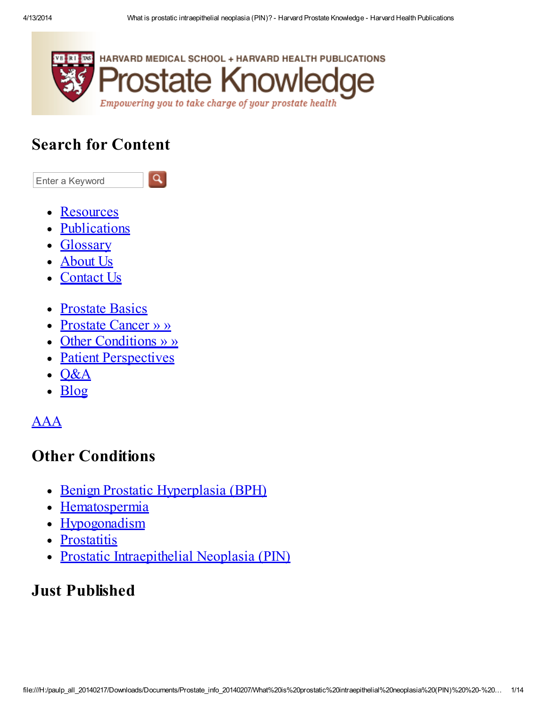

#### Search for Content



- [Resources](http://www.harvardprostateknowledge.org/prostate-health-resources)
- **[Publications](http://www.harvardprostateknowledge.org/prostate-health-publications)**
- [Glossary](http://www.harvardprostateknowledge.org/prostate-glossary)
- [About](http://www.harvardprostateknowledge.org/about-us) Us  $\bullet$
- [Contact](http://www.harvardprostateknowledge.org/contact-us) Us  $\bullet$
- **[Prostate](http://www.harvardprostateknowledge.org/prostate-basics) Basics**  $\bullet$
- [Prostate](http://www.harvardprostateknowledge.org/category/prostate-cancer) Cancer » »
- Other [Conditions](http://www.harvardprostateknowledge.org/category/other-conditions) » »  $\bullet$
- Patient [Perspectives](http://www.harvardprostateknowledge.org/category/patient-perspectives)
- [Q&A](http://www.harvardprostateknowledge.org/category/q-a)  $\bullet$
- [Blog](http://www.harvardprostateknowledge.org/category/blog)

#### [AAA](http://www.harvardprostateknowledge.org/what-is-prostatic-intraepithelial-neoplasia-pin#)

#### Other Conditions

• Benign Prostatic [Hyperplasia](http://www.harvardprostateknowledge.org/category/other-conditions/benign-prostatic-hyperplasia) (BPH)

Q

- [Hematospermia](http://www.harvardprostateknowledge.org/category/other-conditions/hematospermia)
- · [Hypogonadism](http://www.harvardprostateknowledge.org/category/other-conditions/hypogonadism)
- **[Prostatitis](http://www.harvardprostateknowledge.org/category/other-conditions/prostatitis)**  $\bullet$
- Prostatic [Intraepithelial](http://www.harvardprostateknowledge.org/category/other-conditions/prostatic-intraepithelial-neoplasia) Neoplasia (PIN)

#### Just Published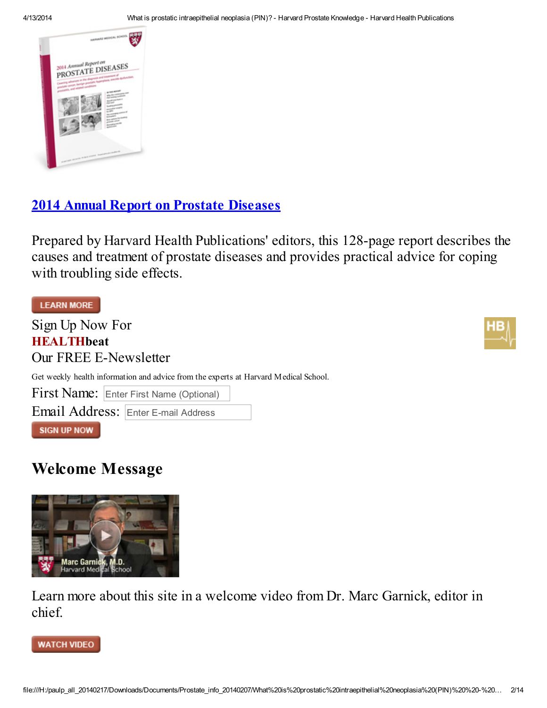

#### 2014 Annual Report on Prostate [Diseases](http://www.health.harvard.edu/special_health_reports/2014-annual-report-on-prostate-diseases)

Prepared by Harvard Health Publications' editors, this 128-page report describes the causes and treatment of prostate diseases and provides practical advice for coping with troubling side effects.

#### **LEARN MORE**

Sign Up Now For HEALTHbeat Our FREE E-Newsletter

Get weekly health information and advice from the experts at Harvard Medical School.

First Name: Enter First Name (Optional)

Email Address: Enter E-mail Address

**SIGN UP NOW** 

#### Welcome Message



Learn more about this site in a welcome video from Dr. Marc Garnick, editor in chief.



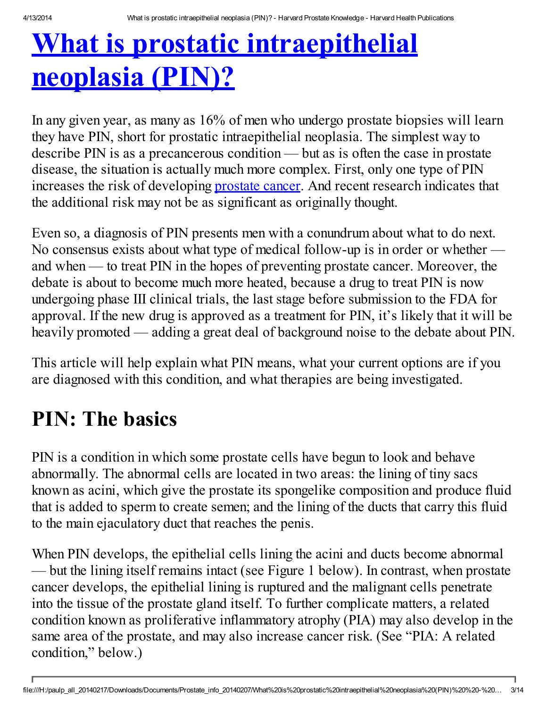# What is prostatic [intraepithelial](file:///H:/paulp_all_20140217/Downloads/Documents/Prostate_info_20140207/What%20is%20prostatic%20intraepithelial%20neoplasia%20(PIN)%20%20-%20Harvard%20Prostate%20Knowledge%20-%20Harvard%20Health%20Publications_files/What%20is%20prostatic%20intraepithelial%20neoplasia%20(PIN)%20%20-%20Harvard%20Prostate%20Knowledge%20-%20Harvard%20Health%20Publications.htm) neoplasia (PIN)?

In any given year, as many as 16% of men who undergo prostate biopsies will learn they have PIN, short for prostatic intraepithelial neoplasia. The simplest way to describe PIN is as a precancerous condition — but as is often the case in prostate disease, the situation is actually much more complex. First, only one type of PIN increases the risk of developing [prostate](http://www.harvardprostateknowledge.org/prostate-cancer) cancer. And recent research indicates that the additional risk may not be as significant as originally thought.

Even so, a diagnosis of PIN presents men with a conundrum about what to do next. No consensus exists about what type of medical follow-up is in order or whether and when — to treat PIN in the hopes of preventing prostate cancer. Moreover, the debate is about to become much more heated, because a drug to treat PIN is now undergoing phase III clinical trials, the last stage before submission to the FDA for approval. If the new drug is approved as a treatment for PIN, it's likely that it will be heavily promoted — adding a great deal of background noise to the debate about PIN.

This article will help explain what PIN means, what your current options are if you are diagnosed with this condition, and what therapies are being investigated.

## PIN: The basics

PIN is a condition in which some prostate cells have begun to look and behave abnormally. The abnormal cells are located in two areas: the lining of tiny sacs known as acini, which give the prostate its spongelike composition and produce fluid that is added to sperm to create semen; and the lining of the ducts that carry this fluid to the main ejaculatory duct that reaches the penis.

When PIN develops, the epithelial cells lining the acini and ducts become abnormal — but the lining itself remains intact (see Figure 1 below). In contrast, when prostate cancer develops, the epithelial lining is ruptured and the malignant cells penetrate into the tissue of the prostate gland itself. To further complicate matters, a related condition known as proliferative inflammatory atrophy (PIA) may also develop in the same area of the prostate, and may also increase cancer risk. (See "PIA: A related condition," below.)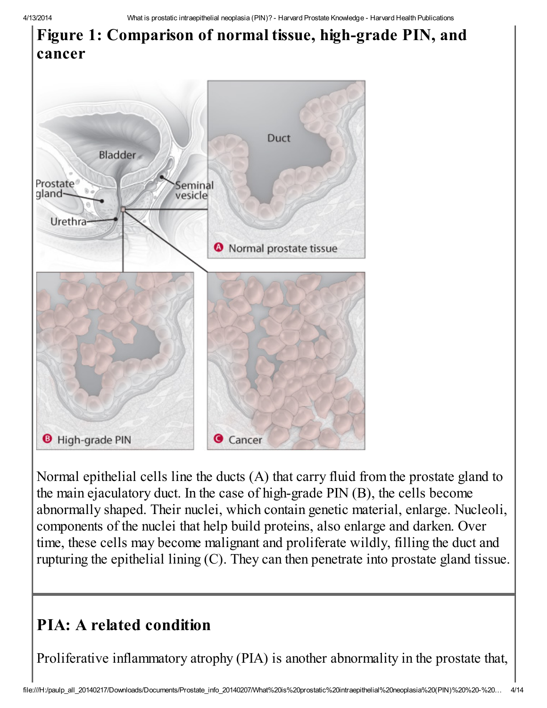

Normal epithelial cells line the ducts (A) that carry fluid from the prostate gland to the main ejaculatory duct. In the case of high-grade PIN (B), the cells become abnormally shaped. Their nuclei, which contain genetic material, enlarge. Nucleoli, components of the nuclei that help build proteins, also enlarge and darken. Over time, these cells may become malignant and proliferate wildly, filling the duct and rupturing the epithelial lining (C). They can then penetrate into prostate gland tissue.

### PIA: A related condition

Proliferative inflammatory atrophy (PIA) is another abnormality in the prostate that,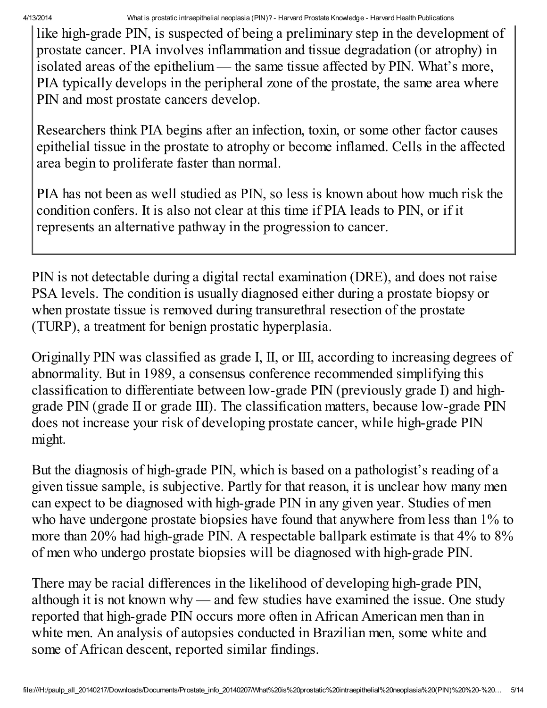4/13/2014 What is prostatic intraepithelial neoplasia (PIN)? - Harvard Prostate Knowledge - Harvard Health Publications

like high-grade PIN, is suspected of being a preliminary step in the development of prostate cancer. PIA involves inflammation and tissue degradation (or atrophy) in isolated areas of the epithelium — the same tissue affected by PIN. What's more, PIA typically develops in the peripheral zone of the prostate, the same area where PIN and most prostate cancers develop.

Researchers think PIA begins after an infection, toxin, or some other factor causes epithelial tissue in the prostate to atrophy or become inflamed. Cells in the affected area begin to proliferate faster than normal.

PIA has not been as well studied as PIN, so less is known about how much risk the condition confers. It is also not clear at this time if PIA leads to PIN, or if it represents an alternative pathway in the progression to cancer.

PIN is not detectable during a digital rectal examination (DRE), and does not raise PSA levels. The condition is usually diagnosed either during a prostate biopsy or when prostate tissue is removed during transurethral resection of the prostate (TURP), a treatment for benign prostatic hyperplasia.

Originally PIN was classified as grade I, II, or III, according to increasing degrees of abnormality. But in 1989, a consensus conference recommended simplifying this classification to differentiate between low-grade PIN (previously grade I) and highgrade PIN (grade II or grade III). The classification matters, because low-grade PIN does not increase your risk of developing prostate cancer, while high-grade PIN might.

But the diagnosis of high-grade PIN, which is based on a pathologist's reading of a given tissue sample, is subjective. Partly for that reason, it is unclear how many men can expect to be diagnosed with high-grade PIN in any given year. Studies of men who have undergone prostate biopsies have found that anywhere from less than 1% to more than 20% had high-grade PIN. A respectable ballpark estimate is that 4% to 8% of men who undergo prostate biopsies will be diagnosed with high-grade PIN.

There may be racial differences in the likelihood of developing high-grade PIN, although it is not known why — and few studies have examined the issue. One study reported that high-grade PIN occurs more often in African American men than in white men. An analysis of autopsies conducted in Brazilian men, some white and some of African descent, reported similar findings.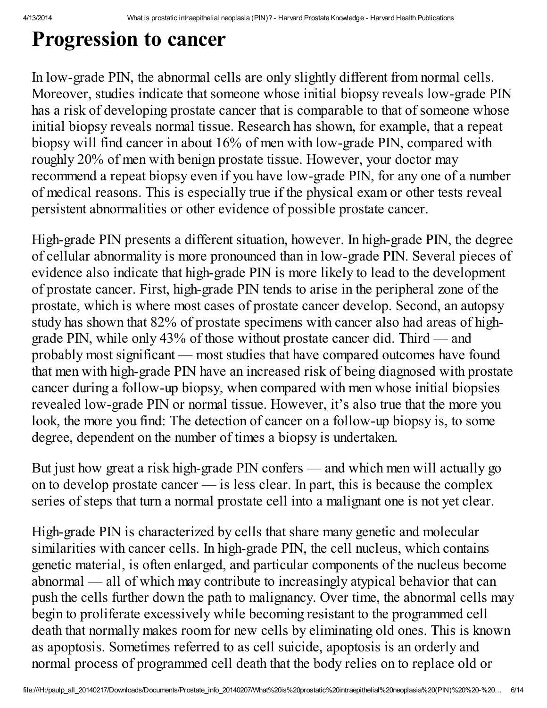### Progression to cancer

In low-grade PIN, the abnormal cells are only slightly different from normal cells. Moreover, studies indicate that someone whose initial biopsy reveals low-grade PIN has a risk of developing prostate cancer that is comparable to that of someone whose initial biopsy reveals normal tissue. Research has shown, for example, that a repeat biopsy will find cancer in about 16% of men with low-grade PIN, compared with roughly 20% of men with benign prostate tissue. However, your doctor may recommend a repeat biopsy even if you have low-grade PIN, for any one of a number of medical reasons. This is especially true if the physical exam or other tests reveal persistent abnormalities or other evidence of possible prostate cancer.

High-grade PIN presents a different situation, however. In high-grade PIN, the degree of cellular abnormality is more pronounced than in low-grade PIN. Several pieces of evidence also indicate that high-grade PIN is more likely to lead to the development of prostate cancer. First, high-grade PIN tends to arise in the peripheral zone of the prostate, which is where most cases of prostate cancer develop. Second, an autopsy study has shown that 82% of prostate specimens with cancer also had areas of highgrade PIN, while only 43% of those without prostate cancer did. Third — and probably most significant — most studies that have compared outcomes have found that men with high-grade PIN have an increased risk of being diagnosed with prostate cancer during a follow-up biopsy, when compared with men whose initial biopsies revealed low-grade PIN or normal tissue. However, it's also true that the more you look, the more you find: The detection of cancer on a follow-up biopsy is, to some degree, dependent on the number of times a biopsy is undertaken.

But just how great a risk high-grade PIN confers — and which men will actually go on to develop prostate cancer — is less clear. In part, this is because the complex series of steps that turn a normal prostate cell into a malignant one is not yet clear.

High-grade PIN is characterized by cells that share many genetic and molecular similarities with cancer cells. In high-grade PIN, the cell nucleus, which contains genetic material, is often enlarged, and particular components of the nucleus become abnormal — all of which may contribute to increasingly atypical behavior that can push the cells further down the path to malignancy. Over time, the abnormal cells may begin to proliferate excessively while becoming resistant to the programmed cell death that normally makes room for new cells by eliminating old ones. This is known as apoptosis. Sometimes referred to as cell suicide, apoptosis is an orderly and normal process of programmed cell death that the body relies on to replace old or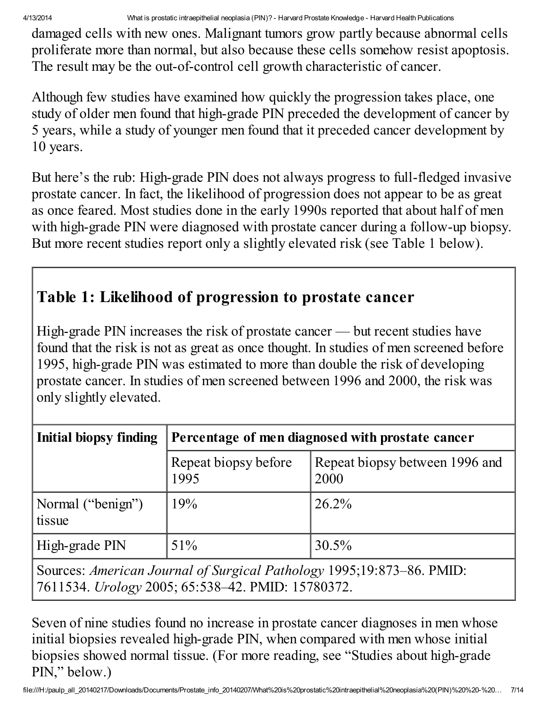4/13/2014 What is prostatic intraepithelial neoplasia (PIN)? - Harvard Prostate Knowledge - Harvard Health Publications

damaged cells with new ones. Malignant tumors grow partly because abnormal cells proliferate more than normal, but also because these cells somehow resist apoptosis. The result may be the out-of-control cell growth characteristic of cancer.

Although few studies have examined how quickly the progression takes place, one study of older men found that high-grade PIN preceded the development of cancer by 5 years, while a study of younger men found that it preceded cancer development by 10 years.

But here's the rub: High-grade PIN does not always progress to full-fledged invasive prostate cancer. In fact, the likelihood of progression does not appear to be as great as once feared. Most studies done in the early 1990s reported that about half of men with high-grade PIN were diagnosed with prostate cancer during a follow-up biopsy. But more recent studies report only a slightly elevated risk (see Table 1 below).

#### Table 1: Likelihood of progression to prostate cancer

High-grade PIN increases the risk of prostate cancer — but recent studies have found that the risk is not as great as once thought. In studies of men screened before 1995, high-grade PIN was estimated to more than double the risk of developing prostate cancer. In studies of men screened between 1996 and 2000, the risk was only slightly elevated.

| Initial biopsy finding                                                | Percentage of men diagnosed with prostate cancer |                                        |
|-----------------------------------------------------------------------|--------------------------------------------------|----------------------------------------|
|                                                                       | Repeat biopsy before<br>1995                     | Repeat biopsy between 1996 and<br>2000 |
| Normal ("benign")<br>tissue                                           | 19%                                              | $26.2\%$                               |
| High-grade PIN                                                        | $51\%$                                           | 30.5%                                  |
| Sources: American Journal of Surgical Pathology 1995;19:873–86. PMID: |                                                  |                                        |

7611534. *Urology* 2005; 65:538–42. PMID: 15780372.

Seven of nine studies found no increase in prostate cancer diagnoses in men whose initial biopsies revealed high-grade PIN, when compared with men whose initial biopsies showed normal tissue. (For more reading, see "Studies about high-grade PIN," below.)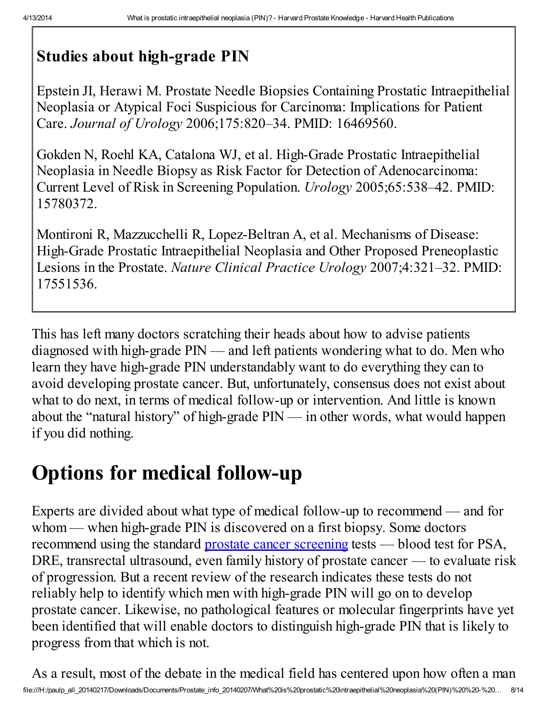### Studies about high-grade PIN

Epstein JI, Herawi M. Prostate Needle Biopsies Containing Prostatic Intraepithelial Neoplasia or Atypical Foci Suspicious for Carcinoma: Implications for Patient Care. *Journal of Urology* 2006;175:820–34. PMID: 16469560.

Gokden N, Roehl KA, Catalona WJ, et al. High-Grade Prostatic Intraepithelial Neoplasia in Needle Biopsy as Risk Factor for Detection of Adenocarcinoma: Current Level of Risk in Screening Population. *Urology* 2005;65:538–42. PMID: 15780372.

Montironi R, Mazzucchelli R, Lopez-Beltran A, et al. Mechanisms of Disease: High-Grade Prostatic Intraepithelial Neoplasia and Other Proposed Preneoplastic Lesions in the Prostate. *Nature Clinical Practice Urology* 2007;4:321–32. PMID: 17551536.

This has left many doctors scratching their heads about how to advise patients diagnosed with high-grade PIN — and left patients wondering what to do. Men who learn they have high-grade PIN understandably want to do everything they can to avoid developing prostate cancer. But, unfortunately, consensus does not exist about what to do next, in terms of medical follow-up or intervention. And little is known about the "natural history" of high-grade PIN — in other words, what would happen if you did nothing.

## Options for medical follow-up

Experts are divided about what type of medical follow-up to recommend — and for whom — when high-grade PIN is discovered on a first biopsy. Some doctors recommend using the standard prostate cancer [screening](http://www.harvardprostateknowledge.org/prostate-cancer-screening) tests — blood test for PSA, DRE, transrectal ultrasound, even family history of prostate cancer — to evaluate risk of progression. But a recent review of the research indicates these tests do not reliably help to identify which men with high-grade PIN will go on to develop prostate cancer. Likewise, no pathological features or molecular fingerprints have yet been identified that will enable doctors to distinguish high-grade PIN that is likely to progress from that which is not.

file:///H:/paulp\_all\_20140217/Downloads/Documents/Prostate\_info\_20140207/What%20is%20prostatic%20intraepithelial%20neoplasia%20(PIN)%20%20-%20… 8/14 As a result, most of the debate in the medical field has centered upon how often a man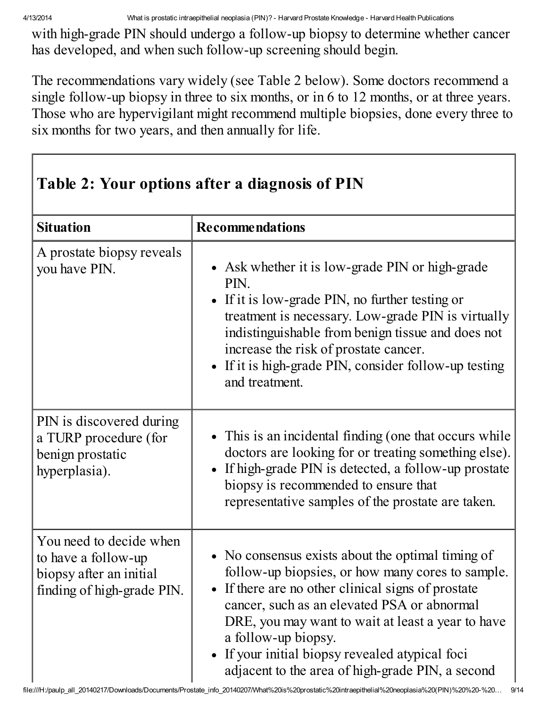4/13/2014 What is prostatic intraepithelial neoplasia (PIN)? - Harvard Prostate Knowledge - Harvard Health Publications

with high-grade PIN should undergo a follow-up biopsy to determine whether cancer has developed, and when such follow-up screening should begin.

The recommendations vary widely (see Table 2 below). Some doctors recommend a single follow-up biopsy in three to six months, or in 6 to 12 months, or at three years. Those who are hypervigilant might recommend multiple biopsies, done every three to six months for two years, and then annually for life.

| <b>Situation</b>                                                                                        | <b>Recommendations</b>                                                                                                                                                                                                                                                                                                                                                                      |  |
|---------------------------------------------------------------------------------------------------------|---------------------------------------------------------------------------------------------------------------------------------------------------------------------------------------------------------------------------------------------------------------------------------------------------------------------------------------------------------------------------------------------|--|
| A prostate biopsy reveals<br>you have PIN.                                                              | • Ask whether it is low-grade PIN or high-grade<br>PIN.<br>• If it is low-grade PIN, no further testing or<br>treatment is necessary. Low-grade PIN is virtually<br>indistinguishable from benign tissue and does not<br>increase the risk of prostate cancer.<br>• If it is high-grade PIN, consider follow-up testing<br>and treatment.                                                   |  |
| PIN is discovered during<br>a TURP procedure (for<br>benign prostatic<br>hyperplasia).                  | • This is an incidental finding (one that occurs while<br>doctors are looking for or treating something else).<br>If high-grade PIN is detected, a follow-up prostate<br>biopsy is recommended to ensure that<br>representative samples of the prostate are taken.                                                                                                                          |  |
| You need to decide when<br>to have a follow-up<br>biopsy after an initial<br>finding of high-grade PIN. | • No consensus exists about the optimal timing of<br>follow-up biopsies, or how many cores to sample.<br>If there are no other clinical signs of prostate<br>cancer, such as an elevated PSA or abnormal<br>DRE, you may want to wait at least a year to have<br>a follow-up biopsy.<br>• If your initial biopsy revealed atypical foci<br>adjacent to the area of high-grade PIN, a second |  |

#### Table 2: Your options after a diagnosis of PIN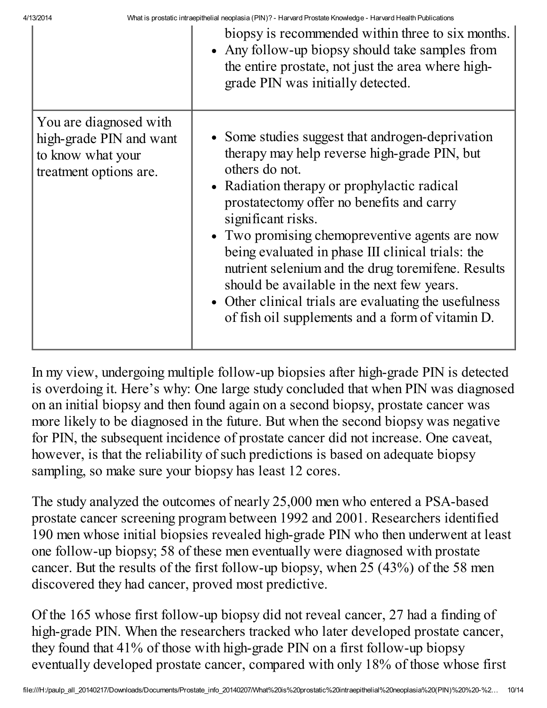|                                                                                                  | biopsy is recommended within three to six months.<br>• Any follow-up biopsy should take samples from<br>the entire prostate, not just the area where high-<br>grade PIN was initially detected.                                                                                                                                                                                                                                                                                                                                                              |
|--------------------------------------------------------------------------------------------------|--------------------------------------------------------------------------------------------------------------------------------------------------------------------------------------------------------------------------------------------------------------------------------------------------------------------------------------------------------------------------------------------------------------------------------------------------------------------------------------------------------------------------------------------------------------|
| You are diagnosed with<br>high-grade PIN and want<br>to know what your<br>treatment options are. | • Some studies suggest that androgen-deprivation<br>therapy may help reverse high-grade PIN, but<br>others do not.<br>• Radiation therapy or prophylactic radical<br>prostatectomy offer no benefits and carry<br>significant risks.<br>• Two promising chemopreventive agents are now<br>being evaluated in phase III clinical trials: the<br>nutrient selenium and the drug toremifene. Results<br>should be available in the next few years.<br>• Other clinical trials are evaluating the usefulness<br>of fish oil supplements and a form of vitamin D. |

In my view, undergoing multiple follow-up biopsies after high-grade PIN is detected is overdoing it. Here's why: One large study concluded that when PIN was diagnosed on an initial biopsy and then found again on a second biopsy, prostate cancer was more likely to be diagnosed in the future. But when the second biopsy was negative for PIN, the subsequent incidence of prostate cancer did not increase. One caveat, however, is that the reliability of such predictions is based on adequate biopsy sampling, so make sure your biopsy has least 12 cores.

The study analyzed the outcomes of nearly 25,000 men who entered a PSA-based prostate cancer screening program between 1992 and 2001. Researchers identified 190 men whose initial biopsies revealed high-grade PIN who then underwent at least one follow-up biopsy; 58 of these men eventually were diagnosed with prostate cancer. But the results of the first follow-up biopsy, when 25 (43%) of the 58 men discovered they had cancer, proved most predictive.

Of the 165 whose first follow-up biopsy did not reveal cancer, 27 had a finding of high-grade PIN. When the researchers tracked who later developed prostate cancer, they found that 41% of those with high-grade PIN on a first follow-up biopsy eventually developed prostate cancer, compared with only 18% of those whose first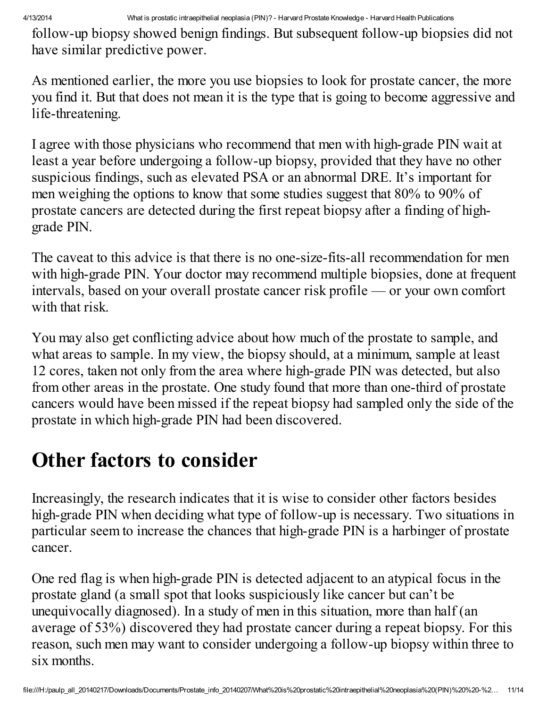follow-up biopsy showed benign findings. But subsequent follow-up biopsies did not have similar predictive power.

As mentioned earlier, the more you use biopsies to look for prostate cancer, the more you find it. But that does not mean it is the type that is going to become aggressive and life-threatening.

I agree with those physicians who recommend that men with high-grade PIN wait at least a year before undergoing a follow-up biopsy, provided that they have no other suspicious findings, such as elevated PSA or an abnormal DRE. It's important for men weighing the options to know that some studies suggest that 80% to 90% of prostate cancers are detected during the first repeat biopsy after a finding of highgrade PIN.

The caveat to this advice is that there is no one-size-fits-all recommendation for men with high-grade PIN. Your doctor may recommend multiple biopsies, done at frequent intervals, based on your overall prostate cancer risk profile — or your own comfort with that risk.

You may also get conflicting advice about how much of the prostate to sample, and what areas to sample. In my view, the biopsy should, at a minimum, sample at least 12 cores, taken not only from the area where high-grade PIN was detected, but also from other areas in the prostate. One study found that more than one-third of prostate cancers would have been missed if the repeat biopsy had sampled only the side of the prostate in which high-grade PIN had been discovered.

### Other factors to consider

Increasingly, the research indicates that it is wise to consider other factors besides high-grade PIN when deciding what type of follow-up is necessary. Two situations in particular seem to increase the chances that high-grade PIN is a harbinger of prostate cancer.

One red flag is when high-grade PIN is detected adjacent to an atypical focus in the prostate gland (a small spot that looks suspiciously like cancer but can't be unequivocally diagnosed). In a study of men in this situation, more than half (an average of 53%) discovered they had prostate cancer during a repeat biopsy. For this reason, such men may want to consider undergoing a follow-up biopsy within three to six months.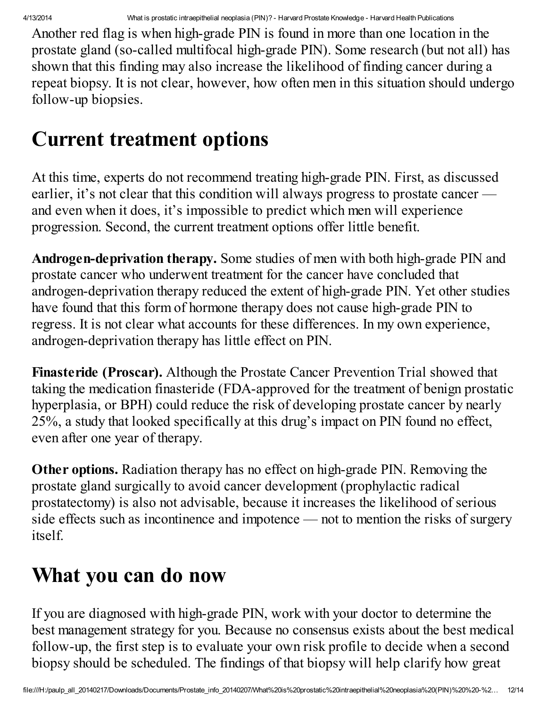Another red flag is when high-grade PIN is found in more than one location in the prostate gland (so-called multifocal high-grade PIN). Some research (but not all) has shown that this finding may also increase the likelihood of finding cancer during a repeat biopsy. It is not clear, however, how often men in this situation should undergo follow-up biopsies.

### Current treatment options

At this time, experts do not recommend treating high-grade PIN. First, as discussed earlier, it's not clear that this condition will always progress to prostate cancer and even when it does, it's impossible to predict which men will experience progression. Second, the current treatment options offer little benefit.

Androgen-deprivation therapy. Some studies of men with both high-grade PIN and prostate cancer who underwent treatment for the cancer have concluded that androgen-deprivation therapy reduced the extent of high-grade PIN. Yet other studies have found that this form of hormone therapy does not cause high-grade PIN to regress. It is not clear what accounts for these differences. In my own experience, androgen-deprivation therapy has little effect on PIN.

Finasteride (Proscar). Although the Prostate Cancer Prevention Trial showed that taking the medication finasteride (FDA-approved for the treatment of benign prostatic hyperplasia, or BPH) could reduce the risk of developing prostate cancer by nearly 25%, a study that looked specifically at this drug's impact on PIN found no effect, even after one year of therapy.

Other options. Radiation therapy has no effect on high-grade PIN. Removing the prostate gland surgically to avoid cancer development (prophylactic radical prostatectomy) is also not advisable, because it increases the likelihood of serious side effects such as incontinence and impotence — not to mention the risks of surgery itself.

## What you can do now

If you are diagnosed with high-grade PIN, work with your doctor to determine the best management strategy for you. Because no consensus exists about the best medical follow-up, the first step is to evaluate your own risk profile to decide when a second biopsy should be scheduled. The findings of that biopsy will help clarify how great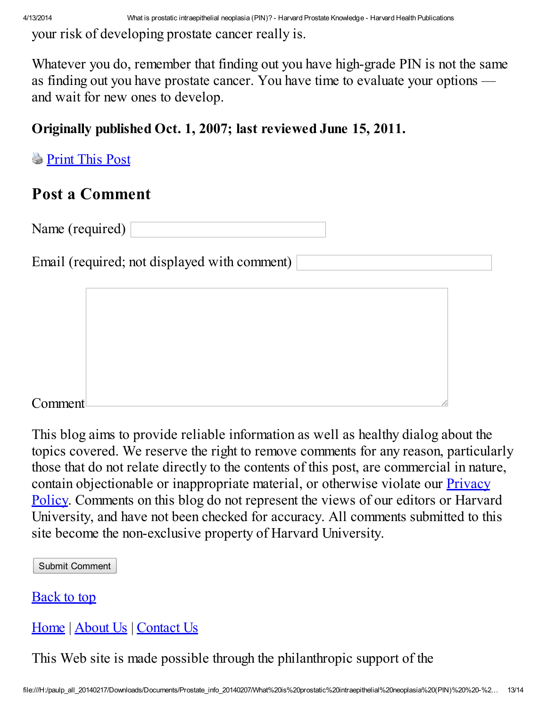your risk of developing prostate cancer really is.

Whatever you do, remember that finding out you have high-grade PIN is not the same as finding out you have prostate cancer. You have time to evaluate your options and wait for new ones to develop.

#### Originally published Oct. 1, 2007; last reviewed June 15, 2011.

**[Print](http://www.harvardprostateknowledge.org/what-is-prostatic-intraepithelial-neoplasia-pin/print/) This Post** 

#### Post a Comment

Name (required)

Email (required; not displayed with comment)

Comment

This blog aims to provide reliable information as well as healthy dialog about the topics covered. We reserve the right to remove comments for any reason, particularly those that do not relate directly to the contents of this post, are commercial in nature, contain [objectionable](http://www.health.harvard.edu/privacy_policy.php) or inappropriate material, or otherwise violate our **Privacy** Policy. Comments on this blog do not represent the views of our editors or Harvard University, and have not been checked for accuracy. All comments submitted to this site become the non-exclusive property of Harvard University.

Submit Comment

**[Back](http://www.harvardprostateknowledge.org/what-is-prostatic-intraepithelial-neoplasia-pin#top) to top** 

[Home](http://www.harvardprostateknowledge.org/) | [About](http://www.harvardprostateknowledge.org/about-us) Us | [Contact](http://www.harvardprostateknowledge.org/contact-us) Us

This Web site is made possible through the philanthropic support of the